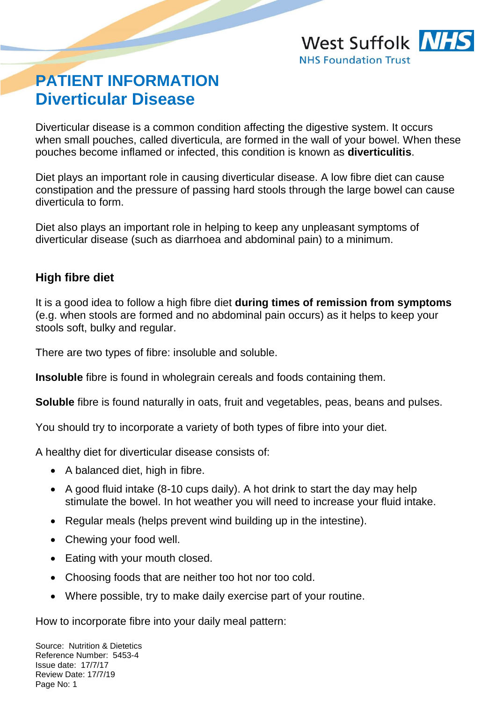# **PATIENT INFORMATION Diverticular Disease**

Diverticular disease is a common condition affecting the digestive system. It occurs when small pouches, called diverticula, are formed in the wall of your bowel. When these pouches become inflamed or infected, this condition is known as **diverticulitis**.

Diet plays an important role in causing diverticular disease. A low fibre diet can cause constipation and the pressure of passing hard stools through the large bowel can cause diverticula to form.

Diet also plays an important role in helping to keep any unpleasant symptoms of diverticular disease (such as diarrhoea and abdominal pain) to a minimum.

# **High fibre diet**

It is a good idea to follow a high fibre diet **during times of remission from symptoms** (e.g. when stools are formed and no abdominal pain occurs) as it helps to keep your stools soft, bulky and regular.

There are two types of fibre: insoluble and soluble.

**Insoluble** fibre is found in wholegrain cereals and foods containing them.

**Soluble** fibre is found naturally in oats, fruit and vegetables, peas, beans and pulses.

You should try to incorporate a variety of both types of fibre into your diet.

A healthy diet for diverticular disease consists of:

- A balanced diet, high in fibre.
- A good fluid intake (8-10 cups daily). A hot drink to start the day may help stimulate the bowel. In hot weather you will need to increase your fluid intake.
- Regular meals (helps prevent wind building up in the intestine).
- Chewing your food well.
- Eating with your mouth closed.
- Choosing foods that are neither too hot nor too cold.
- Where possible, try to make daily exercise part of your routine.

How to incorporate fibre into your daily meal pattern: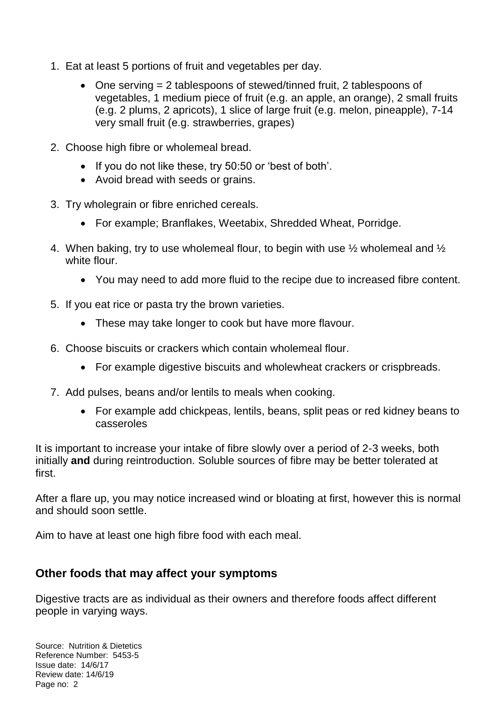- 1. Eat at least 5 portions of fruit and vegetables per day.
	- One serving = 2 tablespoons of stewed/tinned fruit, 2 tablespoons of vegetables, 1 medium piece of fruit (e.g. an apple, an orange), 2 small fruits (e.g. 2 plums, 2 apricots), 1 slice of large fruit (e.g. melon, pineapple), 7-14 very small fruit (e.g. strawberries, grapes)
- 2. Choose high fibre or wholemeal bread.
	- If you do not like these, try 50:50 or 'best of both'.
	- Avoid bread with seeds or grains.
- 3. Try wholegrain or fibre enriched cereals.
	- For example; Branflakes, Weetabix, Shredded Wheat, Porridge.
- 4. When baking, try to use wholemeal flour, to begin with use ½ wholemeal and ½ white flour.
	- You may need to add more fluid to the recipe due to increased fibre content.
- 5. If you eat rice or pasta try the brown varieties.
	- These may take longer to cook but have more flavour.
- 6. Choose biscuits or crackers which contain wholemeal flour.
	- For example digestive biscuits and wholewheat crackers or crispbreads.
- 7. Add pulses, beans and/or lentils to meals when cooking.
	- For example add chickpeas, lentils, beans, split peas or red kidney beans to casseroles

It is important to increase your intake of fibre slowly over a period of 2-3 weeks, both initially **and** during reintroduction. Soluble sources of fibre may be better tolerated at first.

After a flare up, you may notice increased wind or bloating at first, however this is normal and should soon settle.

Aim to have at least one high fibre food with each meal.

## **Other foods that may affect your symptoms**

Digestive tracts are as individual as their owners and therefore foods affect different people in varying ways.

Source: Nutrition & Dietetics Reference Number: 5453-5 Issue date: 14/6/17 Review date: 14/6/19 Page no: 2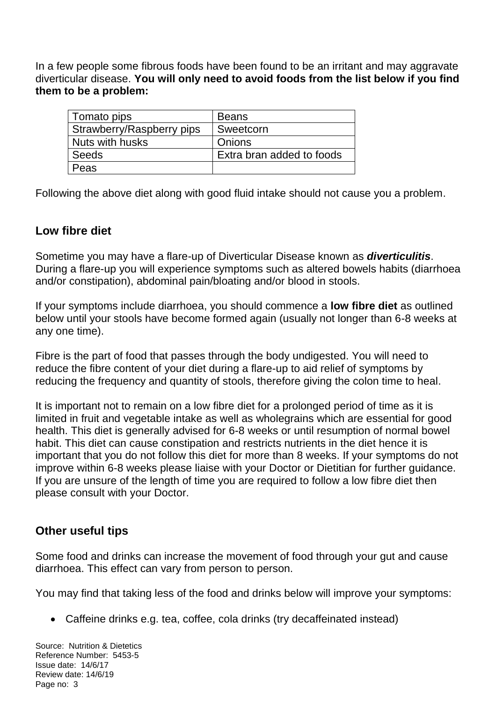In a few people some fibrous foods have been found to be an irritant and may aggravate diverticular disease. **You will only need to avoid foods from the list below if you find them to be a problem:**

| Tomato pips               | <b>Beans</b>              |
|---------------------------|---------------------------|
| Strawberry/Raspberry pips | Sweetcorn                 |
| Nuts with husks           | Onions                    |
| <b>Seeds</b>              | Extra bran added to foods |
| Peas                      |                           |

Following the above diet along with good fluid intake should not cause you a problem.

#### **Low fibre diet**

Sometime you may have a flare-up of Diverticular Disease known as *diverticulitis*. During a flare-up you will experience symptoms such as altered bowels habits (diarrhoea and/or constipation), abdominal pain/bloating and/or blood in stools.

If your symptoms include diarrhoea, you should commence a **low fibre diet** as outlined below until your stools have become formed again (usually not longer than 6-8 weeks at any one time).

Fibre is the part of food that passes through the body undigested. You will need to reduce the fibre content of your diet during a flare-up to aid relief of symptoms by reducing the frequency and quantity of stools, therefore giving the colon time to heal.

It is important not to remain on a low fibre diet for a prolonged period of time as it is limited in fruit and vegetable intake as well as wholegrains which are essential for good health. This diet is generally advised for 6-8 weeks or until resumption of normal bowel habit. This diet can cause constipation and restricts nutrients in the diet hence it is important that you do not follow this diet for more than 8 weeks. If your symptoms do not improve within 6-8 weeks please liaise with your Doctor or Dietitian for further guidance. If you are unsure of the length of time you are required to follow a low fibre diet then please consult with your Doctor.

## **Other useful tips**

Some food and drinks can increase the movement of food through your gut and cause diarrhoea. This effect can vary from person to person.

You may find that taking less of the food and drinks below will improve your symptoms:

Caffeine drinks e.g. tea, coffee, cola drinks (try decaffeinated instead)

Source: Nutrition & Dietetics Reference Number: 5453-5 Issue date: 14/6/17 Review date: 14/6/19 Page no: 3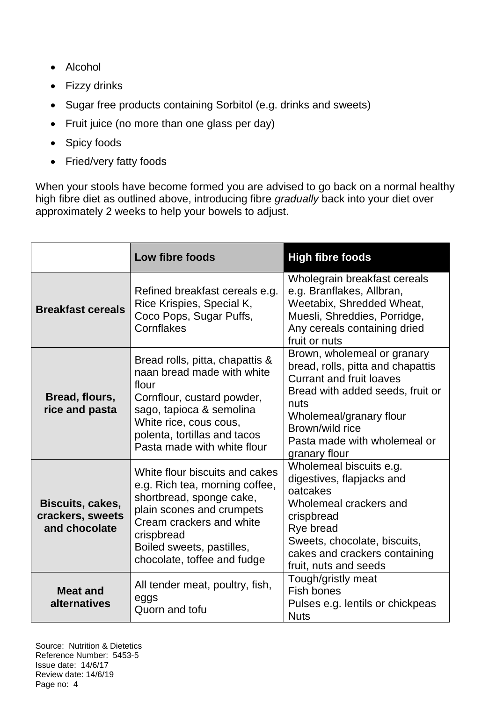- Alcohol
- Fizzy drinks
- Sugar free products containing Sorbitol (e.g. drinks and sweets)
- Fruit juice (no more than one glass per day)
- Spicy foods
- Fried/very fatty foods

When your stools have become formed you are advised to go back on a normal healthy high fibre diet as outlined above, introducing fibre *gradually* back into your diet over approximately 2 weeks to help your bowels to adjust.

|                                                       | Low fibre foods                                                                                                                                                                                                                 | <b>High fibre foods</b>                                                                                                                                                                                                                        |
|-------------------------------------------------------|---------------------------------------------------------------------------------------------------------------------------------------------------------------------------------------------------------------------------------|------------------------------------------------------------------------------------------------------------------------------------------------------------------------------------------------------------------------------------------------|
| <b>Breakfast cereals</b>                              | Refined breakfast cereals e.g.<br>Rice Krispies, Special K,<br>Coco Pops, Sugar Puffs,<br>Cornflakes                                                                                                                            | Wholegrain breakfast cereals<br>e.g. Branflakes, Allbran,<br>Weetabix, Shredded Wheat,<br>Muesli, Shreddies, Porridge,<br>Any cereals containing dried<br>fruit or nuts                                                                        |
| Bread, flours,<br>rice and pasta                      | Bread rolls, pitta, chapattis &<br>naan bread made with white<br>flour<br>Cornflour, custard powder,<br>sago, tapioca & semolina<br>White rice, cous cous,<br>polenta, tortillas and tacos<br>Pasta made with white flour       | Brown, wholemeal or granary<br>bread, rolls, pitta and chapattis<br><b>Currant and fruit loaves</b><br>Bread with added seeds, fruit or<br>nuts<br>Wholemeal/granary flour<br>Brown/wild rice<br>Pasta made with wholemeal or<br>granary flour |
| Biscuits, cakes,<br>crackers, sweets<br>and chocolate | White flour biscuits and cakes<br>e.g. Rich tea, morning coffee,<br>shortbread, sponge cake,<br>plain scones and crumpets<br>Cream crackers and white<br>crispbread<br>Boiled sweets, pastilles,<br>chocolate, toffee and fudge | Wholemeal biscuits e.g.<br>digestives, flapjacks and<br>oatcakes<br>Wholemeal crackers and<br>crispbread<br>Rye bread<br>Sweets, chocolate, biscuits,<br>cakes and crackers containing<br>fruit, nuts and seeds                                |
| <b>Meat and</b><br>alternatives                       | All tender meat, poultry, fish,<br>eggs<br>Quorn and tofu                                                                                                                                                                       | Tough/gristly meat<br>Fish bones<br>Pulses e.g. lentils or chickpeas<br><b>Nuts</b>                                                                                                                                                            |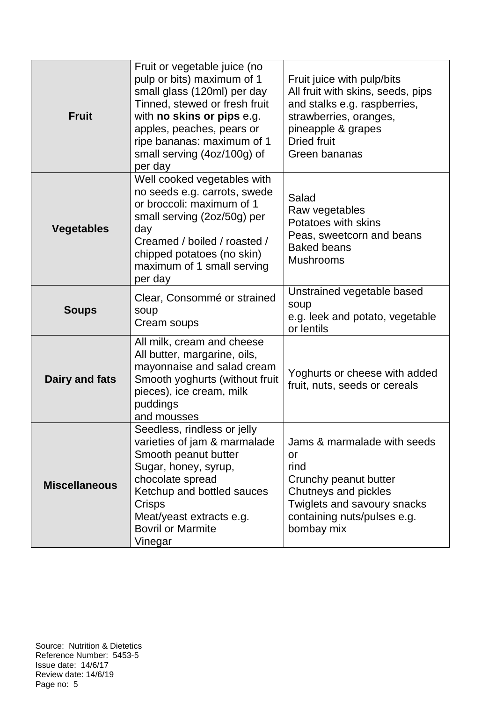| <b>Fruit</b>         | Fruit or vegetable juice (no<br>pulp or bits) maximum of 1<br>small glass (120ml) per day<br>Tinned, stewed or fresh fruit<br>with no skins or pips e.g.<br>apples, peaches, pears or<br>ripe bananas: maximum of 1<br>small serving (4oz/100g) of<br>per day | Fruit juice with pulp/bits<br>All fruit with skins, seeds, pips<br>and stalks e.g. raspberries,<br>strawberries, oranges,<br>pineapple & grapes<br><b>Dried fruit</b><br>Green bananas |
|----------------------|---------------------------------------------------------------------------------------------------------------------------------------------------------------------------------------------------------------------------------------------------------------|----------------------------------------------------------------------------------------------------------------------------------------------------------------------------------------|
| <b>Vegetables</b>    | Well cooked vegetables with<br>no seeds e.g. carrots, swede<br>or broccoli: maximum of 1<br>small serving (2oz/50g) per<br>day<br>Creamed / boiled / roasted /<br>chipped potatoes (no skin)<br>maximum of 1 small serving<br>per day                         | Salad<br>Raw vegetables<br>Potatoes with skins<br>Peas, sweetcorn and beans<br><b>Baked beans</b><br><b>Mushrooms</b>                                                                  |
| <b>Soups</b>         | Clear, Consommé or strained<br>soup<br>Cream soups                                                                                                                                                                                                            | Unstrained vegetable based<br>soup<br>e.g. leek and potato, vegetable<br>or lentils                                                                                                    |
| Dairy and fats       | All milk, cream and cheese<br>All butter, margarine, oils,<br>mayonnaise and salad cream<br>Smooth yoghurts (without fruit<br>pieces), ice cream, milk<br>puddings<br>and mousses                                                                             | Yoghurts or cheese with added<br>fruit, nuts, seeds or cereals                                                                                                                         |
| <b>Miscellaneous</b> | Seedless, rindless or jelly<br>varieties of jam & marmalade<br>Smooth peanut butter<br>Sugar, honey, syrup,<br>chocolate spread<br>Ketchup and bottled sauces<br><b>Crisps</b><br>Meat/yeast extracts e.g.<br><b>Bovril or Marmite</b><br>Vinegar             | Jams & marmalade with seeds<br>or<br>rind<br>Crunchy peanut butter<br>Chutneys and pickles<br>Twiglets and savoury snacks<br>containing nuts/pulses e.g.<br>bombay mix                 |